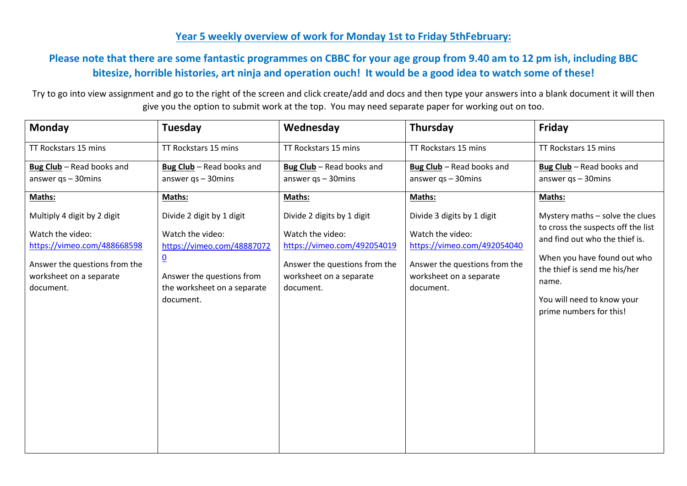## **Year 5 weekly overview of work for Monday 1st to Friday 5thFebruary:**

## **Please note that there are some fantastic programmes on CBBC for your age group from 9.40 am to 12 pm ish, including BBC bitesize, horrible histories, art ninja and operation ouch! It would be a good idea to watch some of these!**

Try to go into view assignment and go to the right of the screen and click create/add and docs and then type your answers into a blank document it will then give you the option to submit work at the top. You may need separate paper for working out on too.

| <b>Monday</b>                                                         | Tuesday                                                                     | Wednesday                                                             | Thursday                                                              | Friday                                                               |
|-----------------------------------------------------------------------|-----------------------------------------------------------------------------|-----------------------------------------------------------------------|-----------------------------------------------------------------------|----------------------------------------------------------------------|
| TT Rockstars 15 mins                                                  | TT Rockstars 15 mins                                                        | TT Rockstars 15 mins                                                  | TT Rockstars 15 mins                                                  | TT Rockstars 15 mins                                                 |
| Bug Club - Read books and                                             | Bug Club - Read books and                                                   | Bug Club - Read books and                                             | Bug Club - Read books and                                             | Bug Club - Read books and                                            |
| answer $qs - 30$ mins                                                 | answer $qs - 30$ mins                                                       | answer $qs - 30$ mins                                                 | answer $qs - 30$ mins                                                 | answer $qs - 30$ mins                                                |
| Maths:                                                                | Maths:                                                                      | Maths:                                                                | Maths:                                                                | Maths:                                                               |
| Multiply 4 digit by 2 digit                                           | Divide 2 digit by 1 digit                                                   | Divide 2 digits by 1 digit                                            | Divide 3 digits by 1 digit                                            | Mystery maths - solve the clues                                      |
| Watch the video:<br>https://vimeo.com/488668598                       | Watch the video:<br>https://vimeo.com/48887072                              | Watch the video:<br>https://vimeo.com/492054019                       | Watch the video:<br>https://vimeo.com/492054040                       | to cross the suspects off the list<br>and find out who the thief is. |
| Answer the questions from the<br>worksheet on a separate<br>document. | $\underline{0}$<br>Answer the questions from<br>the worksheet on a separate | Answer the questions from the<br>worksheet on a separate<br>document. | Answer the questions from the<br>worksheet on a separate<br>document. | When you have found out who<br>the thief is send me his/her<br>name. |
|                                                                       | document.                                                                   |                                                                       |                                                                       | You will need to know your<br>prime numbers for this!                |
|                                                                       |                                                                             |                                                                       |                                                                       |                                                                      |
|                                                                       |                                                                             |                                                                       |                                                                       |                                                                      |
|                                                                       |                                                                             |                                                                       |                                                                       |                                                                      |
|                                                                       |                                                                             |                                                                       |                                                                       |                                                                      |
|                                                                       |                                                                             |                                                                       |                                                                       |                                                                      |
|                                                                       |                                                                             |                                                                       |                                                                       |                                                                      |
|                                                                       |                                                                             |                                                                       |                                                                       |                                                                      |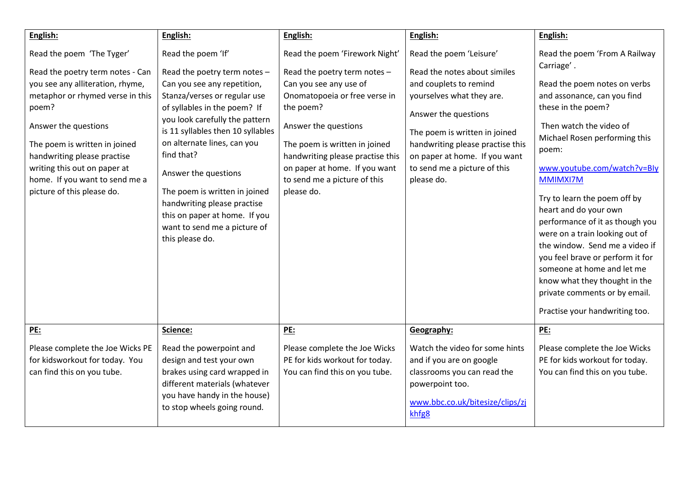| English:                                                                                                                                                                                                                                                                                                                               | English:                                                                                                                                                                                                                                                                                                                                                                                                                                          | English:                                                                                                                                                                                                                                                                                                           | English:                                                                                                                                                                                                                                                                                   | English:                                                                                                                                                                                                                                                                                                                                                                                                                                                                                                                                                                               |
|----------------------------------------------------------------------------------------------------------------------------------------------------------------------------------------------------------------------------------------------------------------------------------------------------------------------------------------|---------------------------------------------------------------------------------------------------------------------------------------------------------------------------------------------------------------------------------------------------------------------------------------------------------------------------------------------------------------------------------------------------------------------------------------------------|--------------------------------------------------------------------------------------------------------------------------------------------------------------------------------------------------------------------------------------------------------------------------------------------------------------------|--------------------------------------------------------------------------------------------------------------------------------------------------------------------------------------------------------------------------------------------------------------------------------------------|----------------------------------------------------------------------------------------------------------------------------------------------------------------------------------------------------------------------------------------------------------------------------------------------------------------------------------------------------------------------------------------------------------------------------------------------------------------------------------------------------------------------------------------------------------------------------------------|
| Read the poem 'The Tyger'<br>Read the poetry term notes - Can<br>you see any alliteration, rhyme,<br>metaphor or rhymed verse in this<br>poem?<br>Answer the questions<br>The poem is written in joined<br>handwriting please practise<br>writing this out on paper at<br>home. If you want to send me a<br>picture of this please do. | Read the poem 'If'<br>Read the poetry term notes -<br>Can you see any repetition,<br>Stanza/verses or regular use<br>of syllables in the poem? If<br>you look carefully the pattern<br>is 11 syllables then 10 syllables<br>on alternate lines, can you<br>find that?<br>Answer the questions<br>The poem is written in joined<br>handwriting please practise<br>this on paper at home. If you<br>want to send me a picture of<br>this please do. | Read the poem 'Firework Night'<br>Read the poetry term notes -<br>Can you see any use of<br>Onomatopoeia or free verse in<br>the poem?<br>Answer the questions<br>The poem is written in joined<br>handwriting please practise this<br>on paper at home. If you want<br>to send me a picture of this<br>please do. | Read the poem 'Leisure'<br>Read the notes about similes<br>and couplets to remind<br>yourselves what they are.<br>Answer the questions<br>The poem is written in joined<br>handwriting please practise this<br>on paper at home. If you want<br>to send me a picture of this<br>please do. | Read the poem 'From A Railway<br>Carriage'.<br>Read the poem notes on verbs<br>and assonance, can you find<br>these in the poem?<br>Then watch the video of<br>Michael Rosen performing this<br>poem:<br>www.youtube.com/watch?v=Bly<br>MMIMXI7M<br>Try to learn the poem off by<br>heart and do your own<br>performance of it as though you<br>were on a train looking out of<br>the window. Send me a video if<br>you feel brave or perform it for<br>someone at home and let me<br>know what they thought in the<br>private comments or by email.<br>Practise your handwriting too. |
| PE:                                                                                                                                                                                                                                                                                                                                    | Science:                                                                                                                                                                                                                                                                                                                                                                                                                                          | <u>PE:</u>                                                                                                                                                                                                                                                                                                         | Geography:                                                                                                                                                                                                                                                                                 | PE:                                                                                                                                                                                                                                                                                                                                                                                                                                                                                                                                                                                    |
| Please complete the Joe Wicks PE<br>for kidsworkout for today. You<br>can find this on you tube.                                                                                                                                                                                                                                       | Read the powerpoint and<br>design and test your own<br>brakes using card wrapped in<br>different materials (whatever<br>you have handy in the house)<br>to stop wheels going round.                                                                                                                                                                                                                                                               | Please complete the Joe Wicks<br>PE for kids workout for today.<br>You can find this on you tube.                                                                                                                                                                                                                  | Watch the video for some hints<br>and if you are on google<br>classrooms you can read the<br>powerpoint too.<br>www.bbc.co.uk/bitesize/clips/zj<br>khfg <sub>8</sub>                                                                                                                       | Please complete the Joe Wicks<br>PE for kids workout for today.<br>You can find this on you tube.                                                                                                                                                                                                                                                                                                                                                                                                                                                                                      |